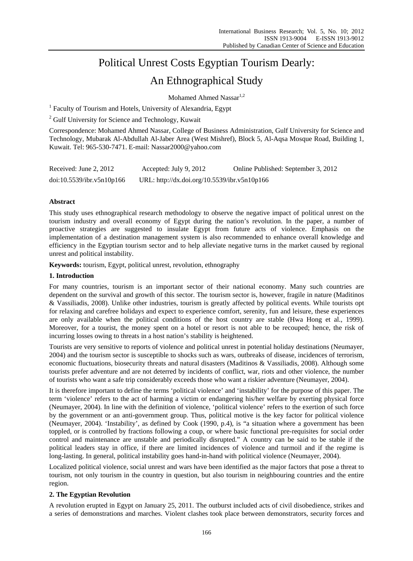# Political Unrest Costs Egyptian Tourism Dearly:

## An Ethnographical Study

Mohamed Ahmed Nassar $1,2$ 

<sup>1</sup> Faculty of Tourism and Hotels, University of Alexandria, Egypt

<sup>2</sup> Gulf University for Science and Technology, Kuwait

Correspondence: Mohamed Ahmed Nassar, College of Business Administration, Gulf University for Science and Technology, Mubarak Al-Abdullah Al-Jaber Area (West Mishref), Block 5, Al-Aqsa Mosque Road, Building 1, Kuwait. Tel: 965-530-7471. E-mail: Nassar2000@yahoo.com

| Received: June 2, 2012    | Accepted: July 9, 2012                       | Online Published: September 3, 2012 |
|---------------------------|----------------------------------------------|-------------------------------------|
| doi:10.5539/ibr.v5n10p166 | URL: http://dx.doi.org/10.5539/ibr.v5n10p166 |                                     |

## **Abstract**

This study uses ethnographical research methodology to observe the negative impact of political unrest on the tourism industry and overall economy of Egypt during the nation's revolution. In the paper, a number of proactive strategies are suggested to insulate Egypt from future acts of violence. Emphasis on the implementation of a destination management system is also recommended to enhance overall knowledge and efficiency in the Egyptian tourism sector and to help alleviate negative turns in the market caused by regional unrest and political instability.

**Keywords:** tourism, Egypt, political unrest, revolution, ethnography

## **1. Introduction**

For many countries, tourism is an important sector of their national economy. Many such countries are dependent on the survival and growth of this sector. The tourism sector is, however, fragile in nature (Maditinos & Vassiliadis, 2008). Unlike other industries, tourism is greatly affected by political events. While tourists opt for relaxing and carefree holidays and expect to experience comfort, serenity, fun and leisure, these experiences are only available when the political conditions of the host country are stable (Hwa Hong et al., 1999). Moreover, for a tourist, the money spent on a hotel or resort is not able to be recouped; hence, the risk of incurring losses owing to threats in a host nation's stability is heightened.

Tourists are very sensitive to reports of violence and political unrest in potential holiday destinations (Neumayer, 2004) and the tourism sector is susceptible to shocks such as wars, outbreaks of disease, incidences of terrorism, economic fluctuations, biosecurity threats and natural disasters (Maditinos & Vassiliadis, 2008). Although some tourists prefer adventure and are not deterred by incidents of conflict, war, riots and other violence, the number of tourists who want a safe trip considerably exceeds those who want a riskier adventure (Neumayer, 2004).

It is therefore important to define the terms 'political violence' and 'instability' for the purpose of this paper. The term 'violence' refers to the act of harming a victim or endangering his/her welfare by exerting physical force (Neumayer, 2004). In line with the definition of violence, 'political violence' refers to the exertion of such force by the government or an anti-government group. Thus, political motive is the key factor for political violence (Neumayer, 2004). 'Instability', as defined by Cook (1990, p.4), is "a situation where a government has been toppled, or is controlled by fractions following a coup, or where basic functional pre-requisites for social order control and maintenance are unstable and periodically disrupted." A country can be said to be stable if the political leaders stay in office, if there are limited incidences of violence and turmoil and if the regime is long-lasting. In general, political instability goes hand-in-hand with political violence (Neumayer, 2004).

Localized political violence, social unrest and wars have been identified as the major factors that pose a threat to tourism, not only tourism in the country in question, but also tourism in neighbouring countries and the entire region.

## **2. The Egyptian Revolution**

A revolution erupted in Egypt on January 25, 2011. The outburst included acts of civil disobedience, strikes and a series of demonstrations and marches. Violent clashes took place between demonstrators, security forces and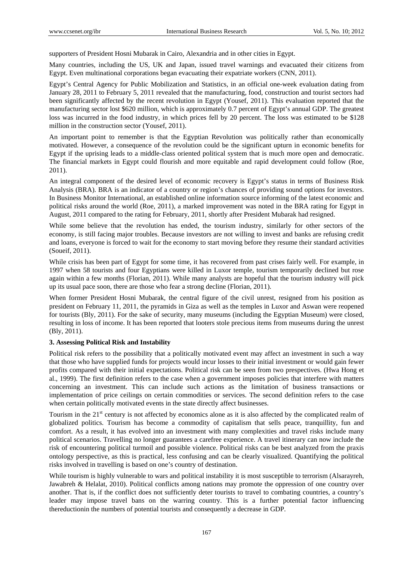supporters of President Hosni Mubarak in Cairo, Alexandria and in other cities in Egypt.

Many countries, including the US, UK and Japan, issued travel warnings and evacuated their citizens from Egypt. Even multinational corporations began evacuating their expatriate workers (CNN, 2011).

Egypt's Central Agency for Public Mobilization and Statistics, in an official one-week evaluation dating from January 28, 2011 to February 5, 2011 revealed that the manufacturing, food, construction and tourist sectors had been significantly affected by the recent revolution in Egypt (Yousef, 2011). This evaluation reported that the manufacturing sector lost \$620 million, which is approximately 0.7 percent of Egypt's annual GDP. The greatest loss was incurred in the food industry, in which prices fell by 20 percent. The loss was estimated to be \$128 million in the construction sector (Yousef, 2011).

An important point to remember is that the Egyptian Revolution was politically rather than economically motivated. However, a consequence of the revolution could be the significant upturn in economic benefits for Egypt if the uprising leads to a middle-class oriented political system that is much more open and democratic. The financial markets in Egypt could flourish and more equitable and rapid development could follow (Roe, 2011).

An integral component of the desired level of economic recovery is Egypt's status in terms of Business Risk Analysis (BRA). BRA is an indicator of a country or region's chances of providing sound options for investors. In Business Monitor International, an established online information source informing of the latest economic and political risks around the world (Roe, 2011), a marked improvement was noted in the BRA rating for Egypt in August, 2011 compared to the rating for February, 2011, shortly after President Mubarak had resigned.

While some believe that the revolution has ended, the tourism industry, similarly for other sectors of the economy, is still facing major troubles. Because investors are not willing to invest and banks are refusing credit and loans, everyone is forced to wait for the economy to start moving before they resume their standard activities (Soueif, 2011).

While crisis has been part of Egypt for some time, it has recovered from past crises fairly well. For example, in 1997 when 58 tourists and four Egyptians were killed in Luxor temple, tourism temporarily declined but rose again within a few months (Florian, 2011). While many analysts are hopeful that the tourism industry will pick up its usual pace soon, there are those who fear a strong decline (Florian, 2011).

When former President Hosni Mubarak, the central figure of the civil unrest, resigned from his position as president on February 11, 2011, the pyramids in Giza as well as the temples in Luxor and Aswan were reopened for tourists (Bly, 2011). For the sake of security, many museums (including the Egyptian Museum) were closed, resulting in loss of income. It has been reported that looters stole precious items from museums during the unrest (Bly, 2011).

## **3. Assessing Political Risk and Instability**

Political risk refers to the possibility that a politically motivated event may affect an investment in such a way that those who have supplied funds for projects would incur losses to their initial investment or would gain fewer profits compared with their initial expectations. Political risk can be seen from two prespectives. (Hwa Hong et al., 1999). The first definition refers to the case when a government imposes policies that interfere with matters concerning an investment. This can include such actions as the limitation of business transactions or implementation of price ceilings on certain commodities or services. The second definition refers to the case when certain politically motivated events in the state directly affect businesses.

Tourism in the 21<sup>st</sup> century is not affected by economics alone as it is also affected by the complicated realm of globalized politics. Tourism has become a commodity of capitalism that sells peace, tranquillity, fun and comfort. As a result, it has evolved into an investment with many complexities and travel risks include many political scenarios. Travelling no longer guarantees a carefree experience. A travel itinerary can now include the risk of encountering political turmoil and possible violence. Political risks can be best analyzed from the praxis ontology perspective, as this is practical, less confusing and can be clearly visualized. Quantifying the political risks involved in travelling is based on one's country of destination.

While tourism is highly vulnerable to wars and political instability it is most susceptible to terrorism (Alsarayreh, Jawabreh & Helalat, 2010). Political conflicts among nations may promote the oppression of one country over another. That is, if the conflict does not sufficiently deter tourists to travel to combating countries, a country's leader may impose travel bans on the warring country. This is a further potential factor influencing thereductionin the numbers of potential tourists and consequently a decrease in GDP.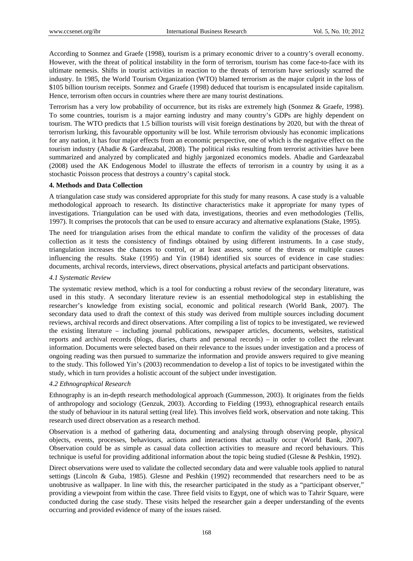According to Sonmez and Graefe (1998), tourism is a primary economic driver to a country's overall economy. However, with the threat of political instability in the form of terrorism, tourism has come face-to-face with its ultimate nemesis. Shifts in tourist activities in reaction to the threats of terrorism have seriously scarred the industry. In 1985, the World Tourism Organization (WTO) blamed terrorism as the major culprit in the loss of \$105 billion tourism receipts. Sonmez and Graefe (1998) deduced that tourism is encapsulated inside capitalism. Hence, terrorism often occurs in countries where there are many tourist destinations.

Terrorism has a very low probability of occurrence, but its risks are extremely high (Sonmez & Graefe, 1998). To some countries, tourism is a major earning industry and many country's GDPs are highly dependent on tourism. The WTO predicts that 1.5 billion tourists will visit foreign destinations by 2020, but with the threat of terrorism lurking, this favourable opportunity will be lost. While terrorism obviously has economic implications for any nation, it has four major effects from an economic perspective, one of which is the negative effect on the tourism industry (Abadie & Gardeazabal, 2008). The political risks resulting from terrorist activities have been summarized and analyzed by complicated and highly jargonized economics models. Abadie and Gardeazabal (2008) used the AK Endogenous Model to illustrate the effects of terrorism in a country by using it as a stochastic Poisson process that destroys a country's capital stock.

## **4. Methods and Data Collection**

A triangulation case study was considered appropriate for this study for many reasons. A case study is a valuable methodological approach to research. Its distinctive characteristics make it appropriate for many types of investigations. Triangulation can be used with data, investigations, theories and even methodologies (Tellis, 1997). It comprises the protocols that can be used to ensure accuracy and alternative explanations (Stake, 1995).

The need for triangulation arises from the ethical mandate to confirm the validity of the processes of data collection as it tests the consistency of findings obtained by using different instruments. In a case study, triangulation increases the chances to control, or at least assess, some of the threats or multiple causes influencing the results. Stake (1995) and Yin (1984) identified six sources of evidence in case studies: documents, archival records, interviews, direct observations, physical artefacts and participant observations.

## *4.1 Systematic Review*

The systematic review method, which is a tool for conducting a robust review of the secondary literature, was used in this study. A secondary literature review is an essential methodological step in establishing the researcher's knowledge from existing social, economic and political research (World Bank, 2007). The secondary data used to draft the context of this study was derived from multiple sources including document reviews, archival records and direct observations. After compiling a list of topics to be investigated, we reviewed the existing literature – including journal publications, newspaper articles, documents, websites, statistical reports and archival records (blogs, diaries, charts and personal records) – in order to collect the relevant information. Documents were selected based on their relevance to the issues under investigation and a process of ongoing reading was then pursued to summarize the information and provide answers required to give meaning to the study. This followed Yin's (2003) recommendation to develop a list of topics to be investigated within the study, which in turn provides a holistic account of the subject under investigation.

## *4.2 Ethnographical Research*

Ethnography is an in-depth research methodological approach (Gummesson, 2003). It originates from the fields of anthropology and sociology (Genzuk, 2003). According to Fielding (1993), ethnographical research entails the study of behaviour in its natural setting (real life). This involves field work, observation and note taking. This research used direct observation as a research method.

Observation is a method of gathering data, documenting and analysing through observing people, physical objects, events, processes, behaviours, actions and interactions that actually occur (World Bank, 2007). Observation could be as simple as casual data collection activities to measure and record behaviours. This technique is useful for providing additional information about the topic being studied (Glesne & Peshkin, 1992).

Direct observations were used to validate the collected secondary data and were valuable tools applied to natural settings (Lincoln & Guba, 1985). Glesne and Peshkin (1992) recommended that researchers need to be as unobtrusive as wallpaper. In line with this, the researcher participated in the study as a "participant observer," providing a viewpoint from within the case. Three field visits to Egypt, one of which was to Tahrir Square, were conducted during the case study. These visits helped the researcher gain a deeper understanding of the events occurring and provided evidence of many of the issues raised.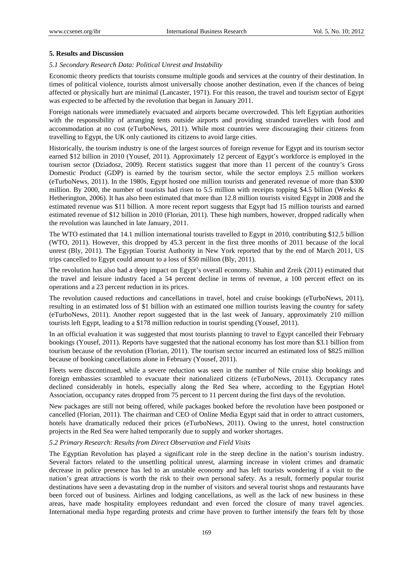## **5. Results and Discussion**

## *5.1 Secondary Research Data: Political Unrest and Instability*

Economic theory predicts that tourists consume multiple goods and services at the country of their destination. In times of political violence, tourists almost universally choose another destination, even if the chances of being affected or physically hurt are minimal (Lancaster, 1971). For this reason, the travel and tourism sector of Egypt was expected to be affected by the revolution that began in January 2011.

Foreign nationals were immediately evacuated and airports became overcrowded. This left Egyptian authorities with the responsibility of arranging tents outside airports and providing stranded travellers with food and accommodation at no cost (eTurboNews, 2011). While most countries were discouraging their citizens from travelling to Egypt, the UK only cautioned its citizens to avoid large cities.

Historically, the tourism industry is one of the largest sources of foreign revenue for Egypt and its tourism sector earned \$12 billion in 2010 (Yousef, 2011). Approximately 12 percent of Egypt's workforce is employed in the tourism sector (Dziadosz, 2009). Recent statistics suggest that more than 11 percent of the country's Gross Domestic Product (GDP) is earned by the tourism sector, while the sector employs 2.5 million workers (eTurboNews, 2011). In the 1980s, Egypt hosted one million tourists and generated revenue of more than \$300 million. By 2000, the number of tourists had risen to 5.5 million with receipts topping \$4.5 billion (Weeks & Hetherington, 2006). It has also been estimated that more than 12.8 million tourists visited Egypt in 2008 and the estimated revenue was \$11 billion. A more recent report suggests that Egypt had 15 million tourists and earned estimated revenue of \$12 billion in 2010 (Florian, 2011). These high numbers, however, dropped radically when the revolution was launched in late January, 2011.

The WTO estimated that 14.1 million international tourists travelled to Egypt in 2010, contributing \$12.5 billion (WTO, 2011). However, this dropped by 45.3 percent in the first three months of 2011 because of the local unrest (Bly, 2011). The Egyptian Tourist Authority in New York reported that by the end of March 2011, US trips cancelled to Egypt could amount to a loss of \$50 million (Bly, 2011).

The revolution has also had a deep impact on Egypt's overall economy. Shahin and Zreik (2011) estimated that the travel and leisure industry faced a 54 percent decline in terms of revenue, a 100 percent effect on its operations and a 23 percent reduction in its prices.

The revolution caused reductions and cancellations in travel, hotel and cruise bookings (eTurboNews, 2011), resulting in an estimated loss of \$1 billion with an estimated one million tourists leaving the country for safety (eTurboNews, 2011). Another report suggested that in the last week of January, approximately 210 million tourists left Egypt, leading to a \$178 million reduction in tourist spending (Yousef, 2011).

In an official evaluation it was suggested that most tourists planning to travel to Egypt cancelled their February bookings (Yousef, 2011). Reports have suggested that the national economy has lost more than \$3.1 billion from tourism because of the revolution (Florian, 2011). The tourism sector incurred an estimated loss of \$825 million because of booking cancellations alone in February (Yousef, 2011).

Fleets were discontinued, while a severe reduction was seen in the number of Nile cruise ship bookings and foreign embassies scrambled to evacuate their nationalized citizens (eTurboNews, 2011). Occupancy rates declined considerably in hotels, especially along the Red Sea where, according to the Egyptian Hotel Association, occupancy rates dropped from 75 percent to 11 percent during the first days of the revolution.

New packages are still not being offered, while packages booked before the revolution have been postponed or cancelled (Florian, 2011). The chairman and CEO of Online Media Egypt said that in order to attract customers, hotels have dramatically reduced their prices (eTurboNews, 2011). Owing to the unrest, hotel construction projects in the Red Sea were halted temporarily due to supply and worker shortages.

## *5.2 Primary Research: Results from Direct Observation and Field Visits*

The Egyptian Revolution has played a significant role in the steep decline in the nation's tourism industry. Several factors related to the unsettling political unrest, alarming increase in violent crimes and dramatic decrease in police presence has led to an unstable economy and has left tourists wondering if a visit to the nation's great attractions is worth the risk to their own personal safety. As a result, formerly popular tourist destinations have seen a devastating drop in the number of visitors and several tourist shops and restaurants have been forced out of business. Airlines and lodging cancellations, as well as the lack of new business in these areas, have made hospitality employees redundant and even forced the closure of many travel agencies. International media hype regarding protests and crime have proven to further intensify the fears felt by those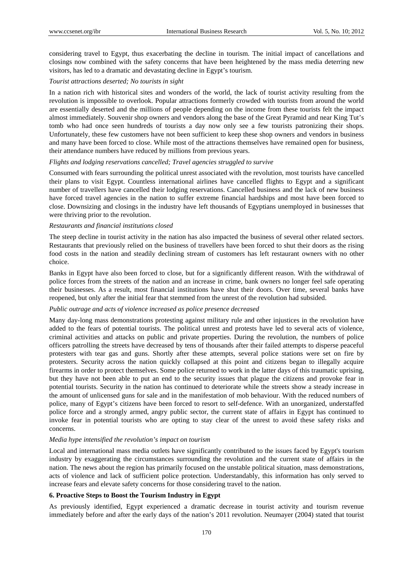considering travel to Egypt, thus exacerbating the decline in tourism. The initial impact of cancellations and closings now combined with the safety concerns that have been heightened by the mass media deterring new visitors, has led to a dramatic and devastating decline in Egypt's tourism.

#### *Tourist attractions deserted; No tourists in sight*

In a nation rich with historical sites and wonders of the world, the lack of tourist activity resulting from the revolution is impossible to overlook. Popular attractions formerly crowded with tourists from around the world are essentially deserted and the millions of people depending on the income from these tourists felt the impact almost immediately. Souvenir shop owners and vendors along the base of the Great Pyramid and near King Tut's tomb who had once seen hundreds of tourists a day now only see a few tourists patronizing their shops. Unfortunately, these few customers have not been sufficient to keep these shop owners and vendors in business and many have been forced to close. While most of the attractions themselves have remained open for business, their attendance numbers have reduced by millions from previous years.

#### *Flights and lodging reservations cancelled; Travel agencies struggled to survive*

Consumed with fears surrounding the political unrest associated with the revolution, most tourists have cancelled their plans to visit Egypt. Countless international airlines have cancelled flights to Egypt and a significant number of travellers have cancelled their lodging reservations. Cancelled business and the lack of new business have forced travel agencies in the nation to suffer extreme financial hardships and most have been forced to close. Downsizing and closings in the industry have left thousands of Egyptians unemployed in businesses that were thriving prior to the revolution.

#### *Restaurants and financial institutions closed*

The steep decline in tourist activity in the nation has also impacted the business of several other related sectors. Restaurants that previously relied on the business of travellers have been forced to shut their doors as the rising food costs in the nation and steadily declining stream of customers has left restaurant owners with no other choice.

Banks in Egypt have also been forced to close, but for a significantly different reason. With the withdrawal of police forces from the streets of the nation and an increase in crime, bank owners no longer feel safe operating their businesses. As a result, most financial institutions have shut their doors. Over time, several banks have reopened, but only after the initial fear that stemmed from the unrest of the revolution had subsided.

#### *Public outrage and acts of violence increased as police presence decreased*

Many day-long mass demonstrations protesting against military rule and other injustices in the revolution have added to the fears of potential tourists. The political unrest and protests have led to several acts of violence, criminal activities and attacks on public and private properties. During the revolution, the numbers of police officers patrolling the streets have decreased by tens of thousands after their failed attempts to disperse peaceful protesters with tear gas and guns. Shortly after these attempts, several police stations were set on fire by protesters. Security across the nation quickly collapsed at this point and citizens began to illegally acquire firearms in order to protect themselves. Some police returned to work in the latter days of this traumatic uprising, but they have not been able to put an end to the security issues that plague the citizens and provoke fear in potential tourists. Security in the nation has continued to deteriorate while the streets show a steady increase in the amount of unlicensed guns for sale and in the manifestation of mob behaviour. With the reduced numbers of police, many of Egypt's citizens have been forced to resort to self-defence. With an unorganized, understaffed police force and a strongly armed, angry public sector, the current state of affairs in Egypt has continued to invoke fear in potential tourists who are opting to stay clear of the unrest to avoid these safety risks and concerns.

#### *Media hype intensified the revolution's impact on tourism*

Local and international mass media outlets have significantly contributed to the issues faced by Egypt's tourism industry by exaggerating the circumstances surrounding the revolution and the current state of affairs in the nation. The news about the region has primarily focused on the unstable political situation, mass demonstrations, acts of violence and lack of sufficient police protection. Understandably, this information has only served to increase fears and elevate safety concerns for those considering travel to the nation.

#### **6. Proactive Steps to Boost the Tourism Industry in Egypt**

As previously identified, Egypt experienced a dramatic decrease in tourist activity and tourism revenue immediately before and after the early days of the nation's 2011 revolution. Neumayer (2004) stated that tourist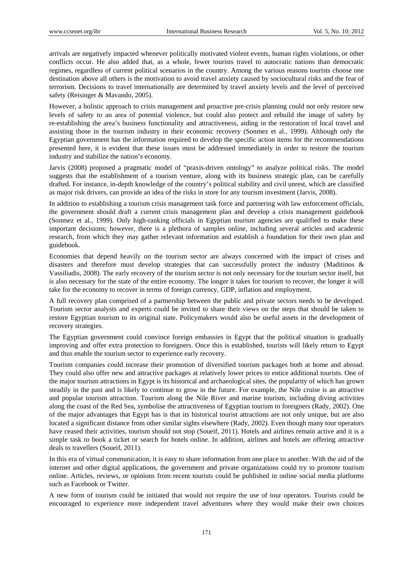arrivals are negatively impacted whenever politically motivated violent events, human rights violations, or other conflicts occur. He also added that, as a whole, fewer tourists travel to autocratic nations than democratic regimes, regardless of current political scenarios in the country. Among the various reasons tourists choose one destination above all others is the motivation to avoid travel anxiety caused by sociocultural risks and the fear of terrorism. Decisions to travel internationally are determined by travel anxiety levels and the level of perceived safety (Reisinger & Mavando, 2005).

However, a holistic approach to crisis management and proactive pre-crisis planning could not only restore new levels of safety to an area of potential violence, but could also protect and rebuild the image of safety by re-establishing the area's business functionality and attractiveness, aiding in the restoration of local travel and assisting those in the tourism industry in their economic recovery (Sonmez et al., 1999). Although only the Egyptian government has the information required to develop the specific action items for the recommendations presented here, it is evident that these issues must be addressed immediately in order to restore the tourism industry and stabilize the nation's economy.

Jarvis (2008) proposed a pragmatic model of "praxis-driven ontology" to analyze political risks. The model suggests that the establishment of a tourism venture, along with its business strategic plan, can be carefully drafted. For instance, in-depth knowledge of the country's political stability and civil unrest, which are classified as major risk drivers, can provide an idea of the risks in store for any tourism investment (Jarvis, 2008).

In addition to establishing a tourism crisis management task force and partnering with law enforcement officials, the government should draft a current crisis management plan and develop a crisis management guidebook (Sonmez et al., 1999). Only high-ranking officials in Egyptian tourism agencies are qualified to make these important decisions; however, there is a plethora of samples online, including several articles and academic research, from which they may gather relevant information and establish a foundation for their own plan and guidebook.

Economies that depend heavily on the tourism sector are always concerned with the impact of crises and disasters and therefore must develop strategies that can successfully protect the industry (Maditinos & Vassiliadis, 2008). The early recovery of the tourism sector is not only necessary for the tourism sector itself, but is also necessary for the state of the entire economy. The longer it takes for tourism to recover, the longer it will take for the economy to recover in terms of foreign currency, GDP, inflation and employment.

A full recovery plan comprised of a partnership between the public and private sectors needs to be developed. Tourism sector analysts and experts could be invited to share their views on the steps that should be taken to restore Egyptian tourism to its original state. Policymakers would also be useful assets in the development of recovery strategies.

The Egyptian government could convince foreign embassies in Egypt that the political situation is gradually improving and offer extra protection to foreigners. Once this is established, tourists will likely return to Egypt and thus enable the tourism sector to experience early recovery.

Tourism companies could increase their promotion of diversified tourism packages both at home and abroad. They could also offer new and attractive packages at relatively lower prices to entice additional tourists. One of the major tourism attractions in Egypt is its historical and archaeological sites, the popularity of which has grown steadily in the past and is likely to continue to grow in the future. For example, the Nile cruise is an attractive and popular tourism attraction. Tourism along the Nile River and marine tourism, including diving activities along the coast of the Red Sea, symbolise the attractiveness of Egyptian tourism to foreigners (Rady, 2002). One of the major advantages that Egypt has is that its historical tourist attractions are not only unique, but are also located a significant distance from other similar sights elsewhere (Rady, 2002). Even though many tour operators have ceased their activities, tourism should not stop (Soueif, 2011). Hotels and airlines remain active and it is a simple task to book a ticket or search for hotels online. In addition, airlines and hotels are offering attractive deals to travellers (Soueif, 2011).

In this era of virtual communication, it is easy to share information from one place to another. With the aid of the internet and other digital applications, the government and private organizations could try to promote tourism online. Articles, reviews, or opinions from recent tourists could be published in online social media platforms such as Facebook or Twitter.

A new form of tourism could be initiated that would not require the use of tour operators. Tourists could be encouraged to experience more independent travel adventures where they would make their own choices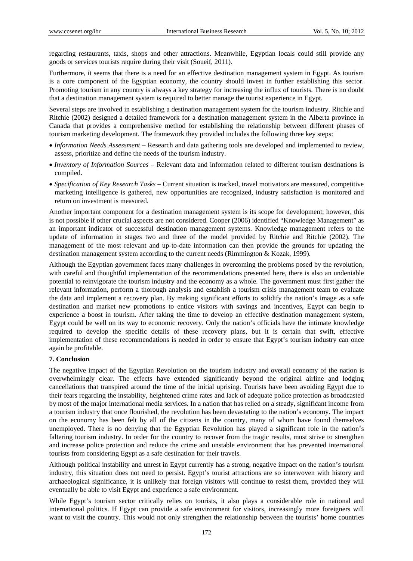regarding restaurants, taxis, shops and other attractions. Meanwhile, Egyptian locals could still provide any goods or services tourists require during their visit (Soueif, 2011).

Furthermore, it seems that there is a need for an effective destination management system in Egypt. As tourism is a core component of the Egyptian economy, the country should invest in further establishing this sector. Promoting tourism in any country is always a key strategy for increasing the influx of tourists. There is no doubt that a destination management system is required to better manage the tourist experience in Egypt.

Several steps are involved in establishing a destination management system for the tourism industry. Ritchie and Ritchie (2002) designed a detailed framework for a destination management system in the Alberta province in Canada that provides a comprehensive method for establishing the relationship between different phases of tourism marketing development. The framework they provided includes the following three key steps:

- *Information Needs Assessment* Research and data gathering tools are developed and implemented to review, assess, prioritize and define the needs of the tourism industry.
- *Inventory of Information Sources* Relevant data and information related to different tourism destinations is compiled.
- *Specification of Key Research Tasks* Current situation is tracked, travel motivators are measured, competitive marketing intelligence is gathered, new opportunities are recognized, industry satisfaction is monitored and return on investment is measured.

Another important component for a destination management system is its scope for development; however, this is not possible if other crucial aspects are not considered. Cooper (2006) identified "Knowledge Management" as an important indicator of successful destination management systems. Knowledge management refers to the update of information in stages two and three of the model provided by Ritchie and Ritchie (2002). The management of the most relevant and up-to-date information can then provide the grounds for updating the destination management system according to the current needs (Rimmington & Kozak, 1999).

Although the Egyptian government faces many challenges in overcoming the problems posed by the revolution, with careful and thoughtful implementation of the recommendations presented here, there is also an undeniable potential to reinvigorate the tourism industry and the economy as a whole. The government must first gather the relevant information, perform a thorough analysis and establish a tourism crisis management team to evaluate the data and implement a recovery plan. By making significant efforts to solidify the nation's image as a safe destination and market new promotions to entice visitors with savings and incentives, Egypt can begin to experience a boost in tourism. After taking the time to develop an effective destination management system, Egypt could be well on its way to economic recovery. Only the nation's officials have the intimate knowledge required to develop the specific details of these recovery plans, but it is certain that swift, effective implementation of these recommendations is needed in order to ensure that Egypt's tourism industry can once again be profitable.

#### **7. Conclusion**

The negative impact of the Egyptian Revolution on the tourism industry and overall economy of the nation is overwhelmingly clear. The effects have extended significantly beyond the original airline and lodging cancellations that transpired around the time of the initial uprising. Tourists have been avoiding Egypt due to their fears regarding the instability, heightened crime rates and lack of adequate police protection as broadcasted by most of the major international media services. In a nation that has relied on a steady, significant income from a tourism industry that once flourished, the revolution has been devastating to the nation's economy. The impact on the economy has been felt by all of the citizens in the country, many of whom have found themselves unemployed. There is no denying that the Egyptian Revolution has played a significant role in the nation's faltering tourism industry. In order for the country to recover from the tragic results, must strive to strengthen and increase police protection and reduce the crime and unstable environment that has prevented international tourists from considering Egypt as a safe destination for their travels.

Although political instability and unrest in Egypt currently has a strong, negative impact on the nation's tourism industry, this situation does not need to persist. Egypt's tourist attractions are so interwoven with history and archaeological significance, it is unlikely that foreign visitors will continue to resist them, provided they will eventually be able to visit Egypt and experience a safe environment.

While Egypt's tourism sector critically relies on tourists, it also plays a considerable role in national and international politics. If Egypt can provide a safe environment for visitors, increasingly more foreigners will want to visit the country. This would not only strengthen the relationship between the tourists' home countries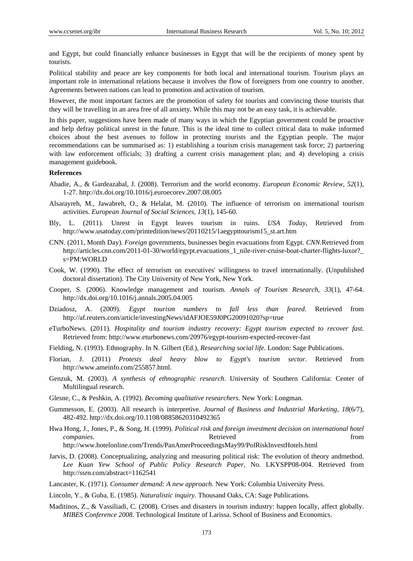and Egypt, but could financially enhance businesses in Egypt that will be the recipients of money spent by tourists.

Political stability and peace are key components for both local and international tourism. Tourism plays an important role in international relations because it involves the flow of foreigners from one country to another. Agreements between nations can lead to promotion and activation of tourism.

However, the most important factors are the promotion of safety for tourists and convincing those tourists that they will be travelling in an area free of all anxiety. While this may not be an easy task, it is achievable.

In this paper, suggestions have been made of many ways in which the Egyptian government could be proactive and help defray political unrest in the future. This is the ideal time to collect critical data to make informed choices about the best avenues to follow in protecting tourists and the Egyptian people. The major recommendations can be summarised as: 1) establishing a tourism crisis management task force; 2) partnering with law enforcement officials; 3) drafting a current crisis management plan; and 4) developing a crisis management guidebook.

#### **References**

- Abadie, A., & Gardeazabal, J. (2008). Terrorism and the world economy. *European Economic Review, 52*(1), 1-27. http://dx.doi.org/10.1016/j.euroecorev.2007.08.005
- Alsarayreh, M., Jawabreh, O., & Helalat, M. (2010). The influence of terrorism on international tourism activities. *European Journal of Social Sciences, 13*(1), 145-60.
- Bly, L. (2011). Unrest in Egypt leaves tourism in ruins. *USA Today,* Retrieved from http://www.usatoday.com/printedition/news/20110215/1aegypttourism15\_st.art.htm
- CNN. (2011, Month Day). *Foreign* governments, businesses begin evacuations from Egypt. *CNN*.Retrieved from http://articles.cnn.com/2011-01-30/world/egypt.evacuations\_1\_nile-river-cruise-boat-charter-flights-luxor?\_ s=PM:WORLD
- Cook, W. (1990). The effect of terrorism on executives' willingness to travel internationally. (Unpublished doctoral dissertation). The City University of New York, New York.
- Cooper, S. (2006). Knowledge management and tourism. *Annals of Tourism Research, 33*(1), 47-64. http://dx.doi.org/10.1016/j.annals.2005.04.005
- Dziadosz, A. (2009). *Egypt tourism numbers to fall less than feared*. Retrieved from http://af.reuters.com/article/investingNews/idAFJOE59J0PG20091020?sp=true
- eTurboNews. (2011). *Hospitality and tourism industry recovery: Egypt tourism expected to recover fast.*  Retrieved from: http://www.eturbonews.com/20976/egypt-tourism-expected-recover-fast
- Fielding, N. (1993). Ethnography. In N. Gilbert (Ed.), *Researching social life*. London: Sage Publications.
- Florian, J. (2011) *Protests deal heavy blow to Egypt's tourism sector*. Retrieved from http://www.ameinfo.com/255857.html.
- Genzuk, M. (2003). *A synthesis of ethnographic research*. University of Southern California: Center of Multilingual research.
- Glesne, C., & Peshkin, A. (1992). *Becoming qualitative researchers*. New York: Longman.
- Gummesson, E. (2003). All research is interpretive. *Journal of Business and Industrial Marketing, 18*(6/7), 482-492. http://dx.doi.org/10.1108/08858620310492365
- Hwa Hong, J., Jones, P., & Song, H. (1999). *Political risk and foreign investment decision on international hotel companies*. The companies of the companies of the companies of the companies of the companies of the companies of the companies of the companies of the companies of the companies of the companies of the companies of the c

http://www.hotelonline.com/Trends/PanAmerProceedingsMay99/PolRiskInvestHotels.html

- Jarvis, D. (2008). Conceptualizing, analyzing and measuring political risk: The evolution of theory andmethod. *Lee Kuan Yew School of Public Policy Research Paper,* No. LKYSPP08-004. Retrieved from http://ssrn.com/abstract=1162541
- Lancaster, K. (1971). *Consumer demand: A new approach*. New York: Columbia University Press.
- Lincoln, Y., & Guba, E. (1985). *Naturalistic inquiry*. Thousand Oaks, CA: Sage Publications.
- Maditinos, Z., & Vassiliadi, C. (2008). Crises and disasters in tourism industry: happen locally, affect globally. *MIBES Conference 2008.* Technological Institute of Larissa. School of Business and Economics.